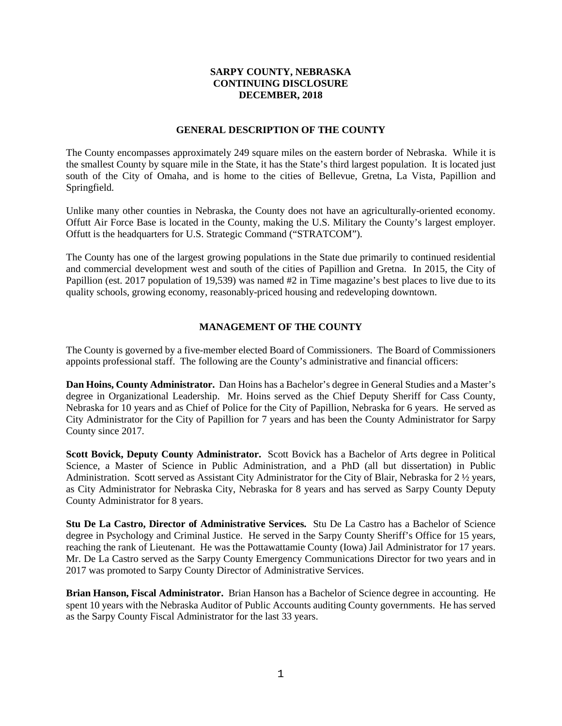# **SARPY COUNTY, NEBRASKA CONTINUING DISCLOSURE DECEMBER, 2018**

#### **GENERAL DESCRIPTION OF THE COUNTY**

The County encompasses approximately 249 square miles on the eastern border of Nebraska. While it is the smallest County by square mile in the State, it has the State's third largest population. It is located just south of the City of Omaha, and is home to the cities of Bellevue, Gretna, La Vista, Papillion and Springfield.

Unlike many other counties in Nebraska, the County does not have an agriculturally-oriented economy. Offutt Air Force Base is located in the County, making the U.S. Military the County's largest employer. Offutt is the headquarters for U.S. Strategic Command ("STRATCOM").

The County has one of the largest growing populations in the State due primarily to continued residential and commercial development west and south of the cities of Papillion and Gretna. In 2015, the City of Papillion (est. 2017 population of 19,539) was named #2 in Time magazine's best places to live due to its quality schools, growing economy, reasonably-priced housing and redeveloping downtown.

# **MANAGEMENT OF THE COUNTY**

The County is governed by a five-member elected Board of Commissioners. The Board of Commissioners appoints professional staff. The following are the County's administrative and financial officers:

**Dan Hoins, County Administrator.** Dan Hoins has a Bachelor's degree in General Studies and a Master's degree in Organizational Leadership. Mr. Hoins served as the Chief Deputy Sheriff for Cass County, Nebraska for 10 years and as Chief of Police for the City of Papillion, Nebraska for 6 years. He served as City Administrator for the City of Papillion for 7 years and has been the County Administrator for Sarpy County since 2017.

**Scott Bovick, Deputy County Administrator.** Scott Bovick has a Bachelor of Arts degree in Political Science, a Master of Science in Public Administration, and a PhD (all but dissertation) in Public Administration. Scott served as Assistant City Administrator for the City of Blair, Nebraska for 2 ½ years, as City Administrator for Nebraska City, Nebraska for 8 years and has served as Sarpy County Deputy County Administrator for 8 years.

**Stu De La Castro, Director of Administrative Services.** Stu De La Castro has a Bachelor of Science degree in Psychology and Criminal Justice. He served in the Sarpy County Sheriff's Office for 15 years, reaching the rank of Lieutenant. He was the Pottawattamie County (Iowa) Jail Administrator for 17 years. Mr. De La Castro served as the Sarpy County Emergency Communications Director for two years and in 2017 was promoted to Sarpy County Director of Administrative Services.

**Brian Hanson, Fiscal Administrator.** Brian Hanson has a Bachelor of Science degree in accounting. He spent 10 years with the Nebraska Auditor of Public Accounts auditing County governments. He has served as the Sarpy County Fiscal Administrator for the last 33 years.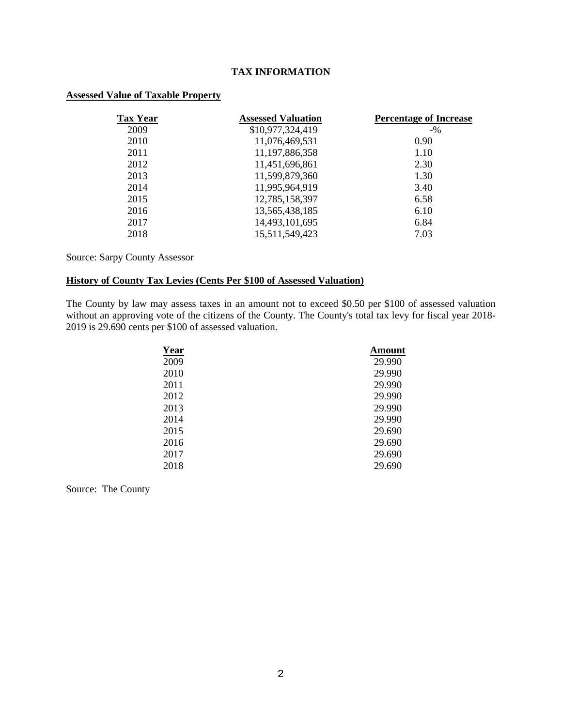# **TAX INFORMATION**

# **Assessed Value of Taxable Property**

| <b>Tax Year</b> | <b>Assessed Valuation</b> | <b>Percentage of Increase</b> |
|-----------------|---------------------------|-------------------------------|
| 2009            | \$10,977,324,419          | $-9/6$                        |
| 2010            | 11,076,469,531            | 0.90                          |
| 2011            | 11,197,886,358            | 1.10                          |
| 2012            | 11,451,696,861            | 2.30                          |
| 2013            | 11,599,879,360            | 1.30                          |
| 2014            | 11,995,964,919            | 3.40                          |
| 2015            | 12,785,158,397            | 6.58                          |
| 2016            | 13,565,438,185            | 6.10                          |
| 2017            | 14,493,101,695            | 6.84                          |
| 2018            | 15,511,549,423            | 7.03                          |

# Source: Sarpy County Assessor

## **History of County Tax Levies (Cents Per \$100 of Assessed Valuation)**

The County by law may assess taxes in an amount not to exceed \$0.50 per \$100 of assessed valuation without an approving vote of the citizens of the County. The County's total tax levy for fiscal year 2018- 2019 is 29.690 cents per \$100 of assessed valuation.

| <b>Year</b> | Amount |
|-------------|--------|
| 2009        | 29.990 |
| 2010        | 29.990 |
| 2011        | 29.990 |
| 2012        | 29.990 |
| 2013        | 29.990 |
| 2014        | 29.990 |
| 2015        | 29.690 |
| 2016        | 29.690 |
| 2017        | 29.690 |
| 2018        | 29.690 |

Source: The County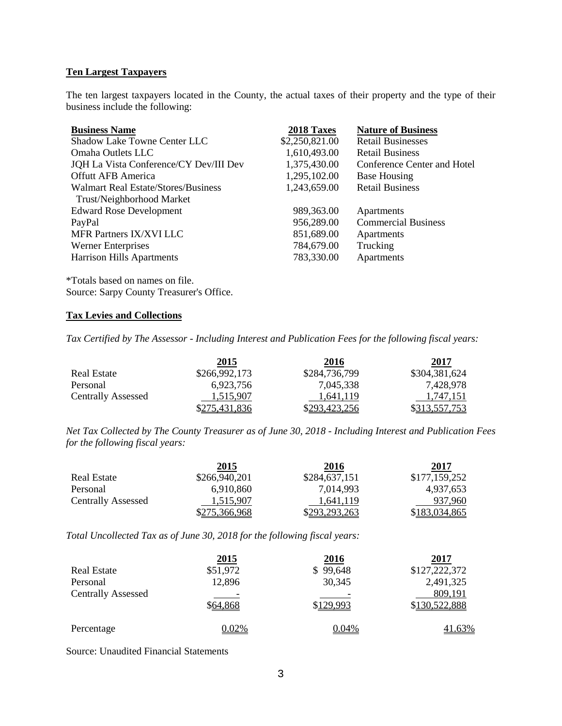# **Ten Largest Taxpayers**

The ten largest taxpayers located in the County, the actual taxes of their property and the type of their business include the following:

| 2018 Taxes     | <b>Nature of Business</b>   |
|----------------|-----------------------------|
| \$2,250,821.00 | <b>Retail Businesses</b>    |
| 1,610,493.00   | <b>Retail Business</b>      |
| 1,375,430.00   | Conference Center and Hotel |
| 1,295,102.00   | <b>Base Housing</b>         |
| 1,243,659.00   | <b>Retail Business</b>      |
|                |                             |
| 989,363.00     | Apartments                  |
| 956,289.00     | <b>Commercial Business</b>  |
| 851,689.00     | Apartments                  |
| 784,679.00     | Trucking                    |
| 783,330.00     | Apartments                  |
|                |                             |

\*Totals based on names on file. Source: Sarpy County Treasurer's Office.

## **Tax Levies and Collections**

*Tax Certified by The Assessor - Including Interest and Publication Fees for the following fiscal years:*

|                           | 2015          | 2016          | 2017                 |
|---------------------------|---------------|---------------|----------------------|
| <b>Real Estate</b>        | \$266,992,173 | \$284,736,799 | \$304,381,624        |
| Personal                  | 6,923,756     | 7.045.338     | 7,428,978            |
| <b>Centrally Assessed</b> | 1,515,907     | 1.641.119     | 1.747.151            |
|                           | \$275,431,836 | \$293,423,256 | <u>\$313,557,753</u> |

*Net Tax Collected by The County Treasurer as of June 30, 2018 - Including Interest and Publication Fees for the following fiscal years:*

|                           | <b>2015</b>   | 2016          | 2017          |
|---------------------------|---------------|---------------|---------------|
| Real Estate               | \$266,940,201 | \$284,637,151 | \$177,159,252 |
| Personal                  | 6.910.860     | 7,014,993     | 4.937.653     |
| <b>Centrally Assessed</b> | 1.515.907     | 1.641.119     | 937.960       |
|                           | \$275,366,968 | \$293,293,263 | \$183,034,865 |

*Total Uncollected Tax as of June 30, 2018 for the following fiscal years:*

|                           | <u>2015</u> | <u>2016</u> | 2017          |
|---------------------------|-------------|-------------|---------------|
| <b>Real Estate</b>        | \$51,972    | \$99,648    | \$127,222,372 |
| Personal                  | 12,896      | 30,345      | 2,491,325     |
| <b>Centrally Assessed</b> |             |             | 809,191       |
|                           | \$64,868    | \$129,993   | \$130,522,888 |
| Percentage                | $0.02\%$    | 0.04%       | <u>41.63%</u> |

Source: Unaudited Financial Statements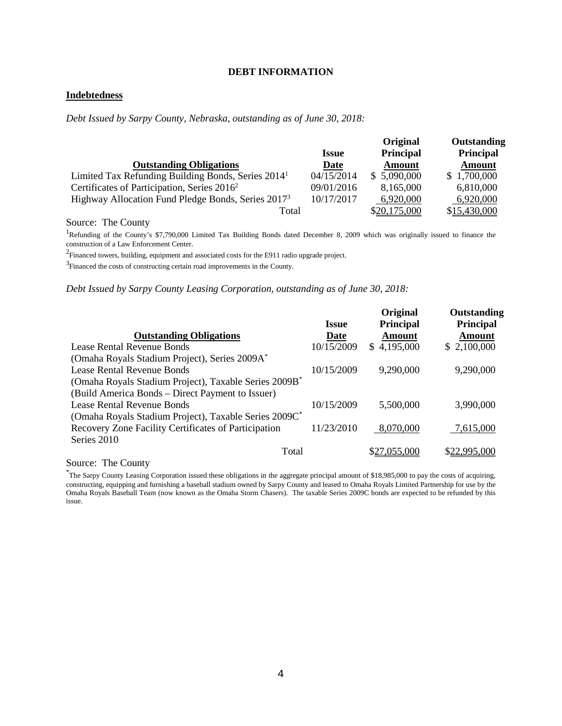#### **DEBT INFORMATION**

# **Indebtedness**

*Debt Issued by Sarpy County, Nebraska, outstanding as of June 30, 2018:*

|                                                                |              | Original      | Outstanding  |
|----------------------------------------------------------------|--------------|---------------|--------------|
|                                                                | <b>Issue</b> | Principal     | Principal    |
| <b>Outstanding Obligations</b>                                 | Date         | <b>Amount</b> | Amount       |
| Limited Tax Refunding Building Bonds, Series 2014 <sup>1</sup> | 04/15/2014   | \$ 5,090,000  | \$1,700,000  |
| Certificates of Participation, Series 2016 <sup>2</sup>        | 09/01/2016   | 8,165,000     | 6,810,000    |
| Highway Allocation Fund Pledge Bonds, Series 2017 <sup>3</sup> | 10/17/2017   | 6,920,000     | 6,920,000    |
| Total                                                          |              | \$20,175,000  | \$15,430,000 |

Source: The County

<sup>1</sup>Refunding of the County's \$7,790,000 Limited Tax Building Bonds dated December 8, 2009 which was originally issued to finance the construction of a Law Enforcement Center.

 $2$ Financed towers, building, equipment and associated costs for the E911 radio upgrade project.

 $3$ Financed the costs of constructing certain road improvements in the County.

#### *Debt Issued by Sarpy County Leasing Corporation, outstanding as of June 30, 2018:*

|              | Original         | Outstanding   |
|--------------|------------------|---------------|
| <b>Issue</b> | <b>Principal</b> | Principal     |
| Date         | Amount           | <b>Amount</b> |
| 10/15/2009   | \$4,195,000      | \$2,100,000   |
|              |                  |               |
| 10/15/2009   | 9,290,000        | 9,290,000     |
|              |                  |               |
|              |                  |               |
| 10/15/2009   | 5,500,000        | 3,990,000     |
|              |                  |               |
| 11/23/2010   | 8,070,000        | 7,615,000     |
|              |                  |               |
|              | \$27,055,000     | \$22,995,000  |
|              |                  |               |

Source: The County

\* The Sarpy County Leasing Corporation issued these obligations in the aggregate principal amount of \$18,985,000 to pay the costs of acquiring, constructing, equipping and furnishing a baseball stadium owned by Sarpy County and leased to Omaha Royals Limited Partnership for use by the Omaha Royals Baseball Team (now known as the Omaha Storm Chasers). The taxable Series 2009C bonds are expected to be refunded by this issue.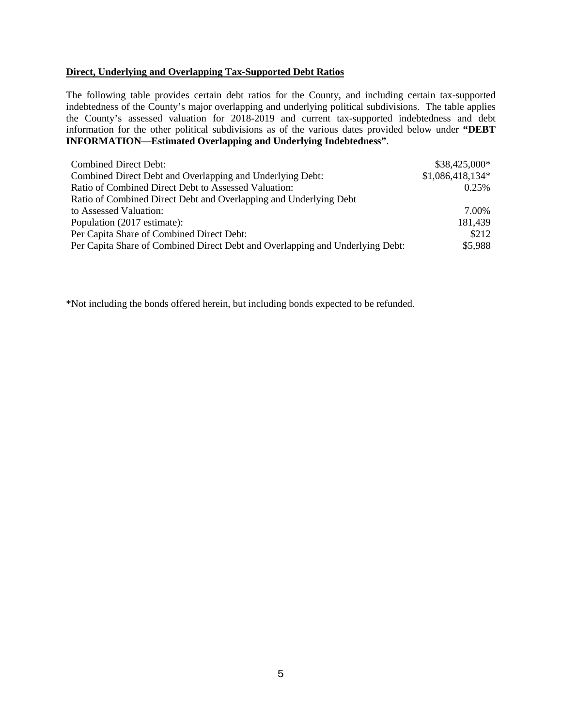#### **Direct, Underlying and Overlapping Tax-Supported Debt Ratios**

The following table provides certain debt ratios for the County, and including certain tax-supported indebtedness of the County's major overlapping and underlying political subdivisions. The table applies the County's assessed valuation for 2018-2019 and current tax-supported indebtedness and debt information for the other political subdivisions as of the various dates provided below under **"DEBT INFORMATION—Estimated Overlapping and Underlying Indebtedness"**.

| Combined Direct Debt:                                                         | $$38,425,000*$    |
|-------------------------------------------------------------------------------|-------------------|
| Combined Direct Debt and Overlapping and Underlying Debt:                     | $$1,086,418,134*$ |
| Ratio of Combined Direct Debt to Assessed Valuation:                          | 0.25%             |
| Ratio of Combined Direct Debt and Overlapping and Underlying Debt             |                   |
| to Assessed Valuation:                                                        | 7.00%             |
| Population (2017 estimate):                                                   | 181,439           |
| Per Capita Share of Combined Direct Debt:                                     | \$212             |
| Per Capita Share of Combined Direct Debt and Overlapping and Underlying Debt: | \$5,988           |

\*Not including the bonds offered herein, but including bonds expected to be refunded.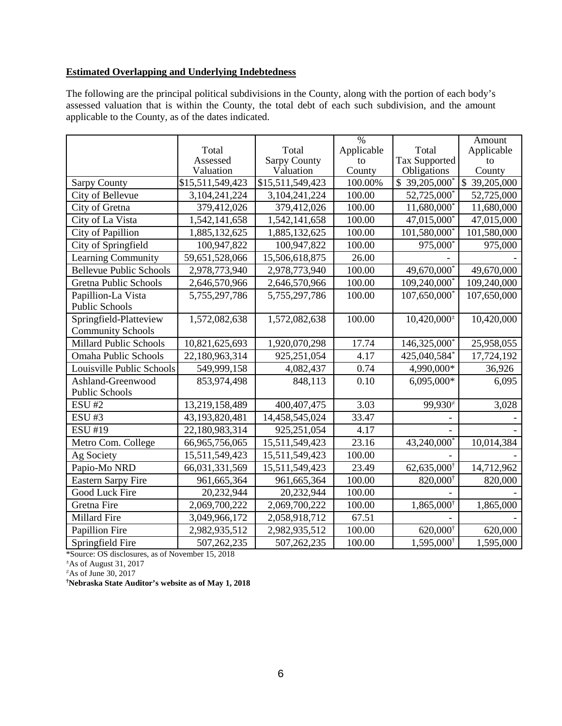# **Estimated Overlapping and Underlying Indebtedness**

The following are the principal political subdivisions in the County, along with the portion of each body's assessed valuation that is within the County, the total debt of each such subdivision, and the amount applicable to the County, as of the dates indicated.

|                                |                               |                                  | $\overline{\frac{0}{0}}$ |                                           | Amount                             |
|--------------------------------|-------------------------------|----------------------------------|--------------------------|-------------------------------------------|------------------------------------|
|                                | Total                         | Total                            | Applicable               | Total                                     | Applicable                         |
|                                | Assessed                      | <b>Sarpy County</b><br>Valuation | to                       | <b>Tax Supported</b>                      | to                                 |
|                                | Valuation<br>\$15,511,549,423 | \$15,511,549,423                 | County<br>100.00%        | Obligations<br>$$39,205,000$ <sup>*</sup> | County<br>$\overline{$}39,205,000$ |
| <b>Sarpy County</b>            |                               |                                  |                          | 52,725,000*                               |                                    |
| City of Bellevue               | 3, 104, 241, 224              | 3,104,241,224                    | 100.00                   |                                           | 52,725,000                         |
| City of Gretna                 | 379,412,026                   | 379,412,026                      | 100.00                   | 11,680,000*                               | 11,680,000                         |
| City of La Vista               | 1,542,141,658                 | 1,542,141,658                    | 100.00                   | 47,015,000*                               | 47,015,000                         |
| City of Papillion              | 1,885,132,625                 | 1,885,132,625                    | 100.00                   | 101,580,000*                              | 101,580,000                        |
| City of Springfield            | 100,947,822                   | 100,947,822                      | 100.00                   | 975,000*                                  | 975,000                            |
| Learning Community             | 59,651,528,066                | 15,506,618,875                   | 26.00                    |                                           |                                    |
| <b>Bellevue Public Schools</b> | 2,978,773,940                 | 2,978,773,940                    | 100.00                   | 49,670,000                                | 49,670,000                         |
| <b>Gretna Public Schools</b>   | 2,646,570,966                 | 2,646,570,966                    | 100.00                   | 109,240,000*                              | 109,240,000                        |
| Papillion-La Vista             | 5,755,297,786                 | 5,755,297,786                    | 100.00                   | 107,650,000*                              | 107,650,000                        |
| <b>Public Schools</b>          |                               |                                  |                          |                                           |                                    |
| Springfield-Platteview         | 1,572,082,638                 | 1,572,082,638                    | 100.00                   | $10,420,000^{\pm}$                        | 10,420,000                         |
| <b>Community Schools</b>       |                               |                                  |                          |                                           |                                    |
| <b>Millard Public Schools</b>  | 10,821,625,693                | 1,920,070,298                    | 17.74                    | 146,325,000 <sup>*</sup>                  | 25,958,055                         |
| Omaha Public Schools           | 22,180,963,314                | 925,251,054                      | 4.17                     | 425,040,584*                              | 17,724,192                         |
| Louisville Public Schools      | 549,999,158                   | 4,082,437                        | 0.74                     | 4,990,000*                                | 36,926                             |
| Ashland-Greenwood              | 853,974,498                   | 848,113                          | 0.10                     | 6,095,000*                                | 6,095                              |
| <b>Public Schools</b>          |                               |                                  |                          |                                           |                                    |
| <b>ESU #2</b>                  | 13,219,158,489                | 400,407,475                      | 3.03                     | 99,930 <sup>#</sup>                       | 3,028                              |
| <b>ESU#3</b>                   | 43,193,820,481                | 14,458,545,024                   | 33.47                    |                                           |                                    |
| <b>ESU #19</b>                 | 22,180,983,314                | 925, 251, 054                    | 4.17                     |                                           |                                    |
| Metro Com. College             | 66,965,756,065                | 15,511,549,423                   | 23.16                    | 43,240,000*                               | 10,014,384                         |
| Ag Society                     | 15,511,549,423                | 15,511,549,423                   | 100.00                   |                                           |                                    |
| Papio-Mo NRD                   | 66,031,331,569                | 15,511,549,423                   | 23.49                    | 62,635,000 <sup>†</sup>                   | 14,712,962                         |
| <b>Eastern Sarpy Fire</b>      | 961,665,364                   | 961,665,364                      | 100.00                   | 820,000                                   | 820,000                            |
| Good Luck Fire                 | 20,232,944                    | 20,232,944                       | 100.00                   |                                           |                                    |
| Gretna Fire                    | 2,069,700,222                 | 2,069,700,222                    | 100.00                   | 1,865,000 <sup>†</sup>                    | 1,865,000                          |
| Millard Fire                   | 3,049,966,172                 | 2,058,918,712                    | 67.51                    |                                           |                                    |
| Papillion Fire                 | 2,982,935,512                 | 2,982,935,512                    | 100.00                   | 620,000 <sup>t</sup>                      | 620,000                            |
| Springfield Fire               | 507,262,235                   | 507,262,235                      | 100.00                   | 1,595,000 <sup>†</sup>                    | 1,595,000                          |

\*Source: OS disclosures, as of November 15, 2018

 $\pm$ As of August 31, 2017

 $\overline{*}$ As of June 30, 2017

**† Nebraska State Auditor's website as of May 1, 2018**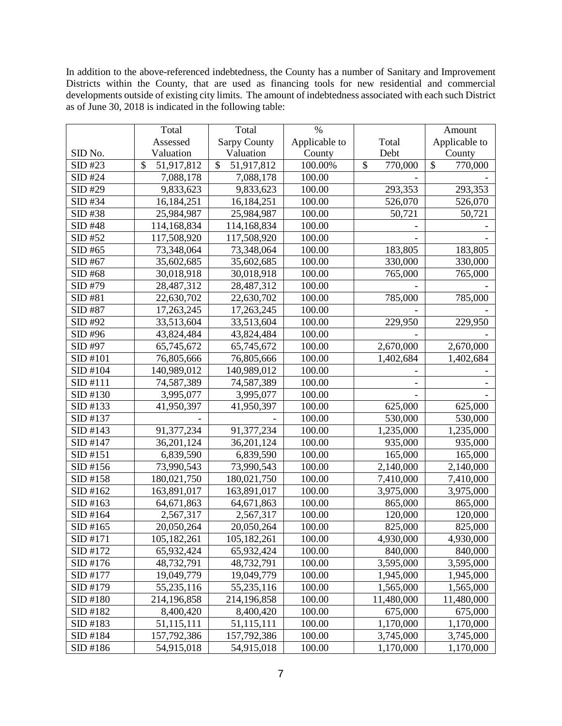In addition to the above-referenced indebtedness, the County has a number of Sanitary and Improvement Districts within the County, that are used as financing tools for new residential and commercial developments outside of existing city limits. The amount of indebtedness associated with each such District as of June 30, 2018 is indicated in the following table:

|          | Total                       | Total               | $\%$          |               | Amount                  |
|----------|-----------------------------|---------------------|---------------|---------------|-------------------------|
|          | Assessed                    | <b>Sarpy County</b> | Applicable to | Total         | Applicable to           |
| SID No.  | Valuation                   | Valuation           | County        | Debt          | County                  |
| SID #23  | $\mathcal{S}$<br>51,917,812 | \$<br>51,917,812    | 100.00%       | 770,000<br>\$ | $\mathbb{S}$<br>770,000 |
| SID #24  | 7,088,178                   | 7,088,178           | 100.00        |               |                         |
| SID #29  | 9,833,623                   | 9,833,623           | 100.00        | 293,353       | 293,353                 |
| SID #34  | 16,184,251                  | 16,184,251          | 100.00        | 526,070       | 526,070                 |
| SID #38  | 25,984,987                  | 25,984,987          | 100.00        | 50,721        | 50,721                  |
| SID #48  | 114,168,834                 | 114,168,834         | 100.00        |               |                         |
| SID #52  | 117,508,920                 | 117,508,920         | 100.00        |               |                         |
| SID #65  | 73,348,064                  | 73,348,064          | 100.00        | 183,805       | 183,805                 |
| SID #67  | 35,602,685                  | 35,602,685          | 100.00        | 330,000       | 330,000                 |
| SID #68  | 30,018,918                  | 30,018,918          | 100.00        | 765,000       | 765,000                 |
| SID #79  | 28,487,312                  | 28,487,312          | 100.00        |               |                         |
| SID #81  | 22,630,702                  | 22,630,702          | 100.00        | 785,000       | 785,000                 |
| SID #87  | 17,263,245                  | 17,263,245          | 100.00        |               |                         |
| SID #92  | 33,513,604                  | 33,513,604          | 100.00        | 229,950       | 229,950                 |
| SID #96  | 43,824,484                  | 43,824,484          | 100.00        |               |                         |
| SID #97  | 65,745,672                  | 65,745,672          | 100.00        | 2,670,000     | 2,670,000               |
| SID #101 | 76,805,666                  | 76,805,666          | 100.00        | 1,402,684     | 1,402,684               |
| SID #104 | 140,989,012                 | 140,989,012         | 100.00        |               |                         |
| SID #111 | 74,587,389                  | 74,587,389          | 100.00        |               |                         |
| SID #130 | 3,995,077                   | 3,995,077           | 100.00        |               |                         |
| SID #133 | 41,950,397                  | 41,950,397          | 100.00        | 625,000       | 625,000                 |
| SID #137 |                             |                     | 100.00        | 530,000       | 530,000                 |
| SID #143 | 91,377,234                  | 91,377,234          | 100.00        | 1,235,000     | 1,235,000               |
| SID #147 | 36,201,124                  | 36,201,124          | 100.00        | 935,000       | 935,000                 |
| SID #151 | 6,839,590                   | 6,839,590           | 100.00        | 165,000       | 165,000                 |
| SID #156 | 73,990,543                  | 73,990,543          | 100.00        | 2,140,000     | 2,140,000               |
| SID #158 | 180,021,750                 | 180,021,750         | 100.00        | 7,410,000     | 7,410,000               |
| SID #162 | 163,891,017                 | 163,891,017         | 100.00        | 3,975,000     | 3,975,000               |
| SID #163 | 64,671,863                  | 64,671,863          | 100.00        | 865,000       | 865,000                 |
| SID #164 | 2,567,317                   | 2,567,317           | 100.00        | 120,000       | 120,000                 |
| SID #165 | 20,050,264                  | 20,050,264          | 100.00        | 825,000       | 825,000                 |
| SID #171 | 105,182,261                 | 105,182,261         | 100.00        | 4,930,000     | 4,930,000               |
| SID #172 | 65,932,424                  | 65,932,424          | 100.00        | 840,000       | 840,000                 |
| SID #176 | 48,732,791                  | 48,732,791          | 100.00        | 3,595,000     | 3,595,000               |
| SID #177 | 19,049,779                  | 19,049,779          | 100.00        | 1,945,000     | 1,945,000               |
| SID #179 | 55,235,116                  | 55,235,116          | 100.00        | 1,565,000     | 1,565,000               |
| SID #180 | 214,196,858                 | 214,196,858         | 100.00        | 11,480,000    | 11,480,000              |
| SID #182 | 8,400,420                   | 8,400,420           | 100.00        | 675,000       | 675,000                 |
| SID #183 | 51,115,111                  | 51,115,111          | 100.00        | 1,170,000     | 1,170,000               |
| SID #184 | 157,792,386                 | 157,792,386         | 100.00        | 3,745,000     | 3,745,000               |
| SID #186 | 54,915,018                  | 54,915,018          | 100.00        | 1,170,000     | 1,170,000               |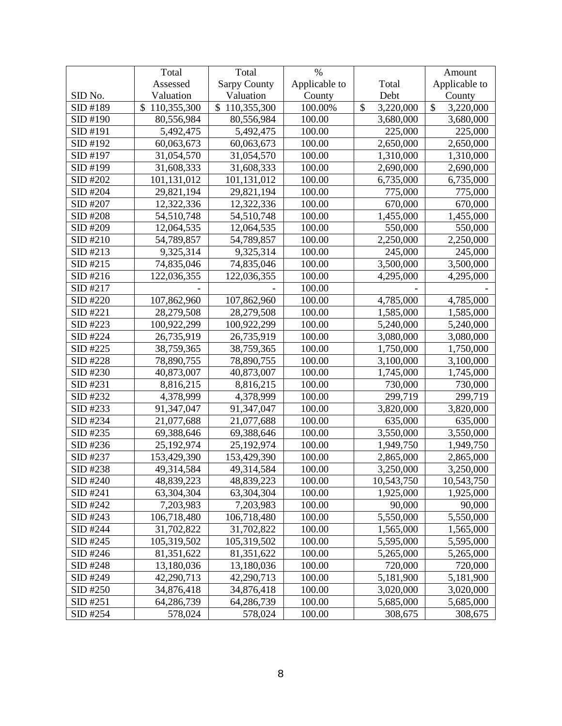|          | Total             | Total               | $\%$          |                 | Amount                     |
|----------|-------------------|---------------------|---------------|-----------------|----------------------------|
|          | Assessed          | <b>Sarpy County</b> | Applicable to | Total           | Applicable to              |
| SID No.  | Valuation         | Valuation           | County        | Debt            | County                     |
| SID #189 | 110,355,300<br>\$ | \$110,355,300       | 100.00%       | 3,220,000<br>\$ | $\mathcal{S}$<br>3,220,000 |
| SID #190 | 80,556,984        | 80,556,984          | 100.00        | 3,680,000       | 3,680,000                  |
| SID #191 | 5,492,475         | 5,492,475           | 100.00        | 225,000         | 225,000                    |
| SID #192 | 60,063,673        | 60,063,673          | 100.00        | 2,650,000       | 2,650,000                  |
| SID #197 | 31,054,570        | 31,054,570          | 100.00        | 1,310,000       | 1,310,000                  |
| SID #199 | 31,608,333        | 31,608,333          | 100.00        | 2,690,000       | 2,690,000                  |
| SID #202 | 101,131,012       | 101,131,012         | 100.00        | 6,735,000       | 6,735,000                  |
| SID #204 | 29,821,194        | 29,821,194          | 100.00        | 775,000         | 775,000                    |
| SID #207 | 12,322,336        | 12,322,336          | 100.00        | 670,000         | 670,000                    |
| SID #208 | 54,510,748        | 54,510,748          | 100.00        | 1,455,000       | 1,455,000                  |
| SID #209 | 12,064,535        | 12,064,535          | 100.00        | 550,000         | 550,000                    |
| SID #210 | 54,789,857        | 54,789,857          | 100.00        | 2,250,000       | 2,250,000                  |
| SID #213 | 9,325,314         | 9,325,314           | 100.00        | 245,000         | 245,000                    |
| SID #215 | 74,835,046        | 74,835,046          | 100.00        | 3,500,000       | 3,500,000                  |
| SID #216 | 122,036,355       | 122,036,355         | 100.00        | 4,295,000       | 4,295,000                  |
| SID #217 |                   |                     | 100.00        |                 |                            |
| SID #220 | 107,862,960       | 107,862,960         | 100.00        | 4,785,000       | 4,785,000                  |
| SID #221 | 28,279,508        | 28,279,508          | 100.00        | 1,585,000       | 1,585,000                  |
| SID #223 | 100,922,299       | 100,922,299         | 100.00        | 5,240,000       | 5,240,000                  |
| SID #224 | 26,735,919        | 26,735,919          | 100.00        | 3,080,000       | 3,080,000                  |
| SID #225 | 38,759,365        | 38,759,365          | 100.00        | 1,750,000       | 1,750,000                  |
| SID #228 | 78,890,755        | 78,890,755          | 100.00        | 3,100,000       | 3,100,000                  |
| SID #230 | 40,873,007        | 40,873,007          | 100.00        | 1,745,000       | 1,745,000                  |
| SID #231 | 8,816,215         | 8,816,215           | 100.00        | 730,000         | 730,000                    |
| SID #232 | 4,378,999         | 4,378,999           | 100.00        | 299,719         | 299,719                    |
| SID #233 | 91,347,047        | 91,347,047          | 100.00        | 3,820,000       | 3,820,000                  |
| SID #234 | 21,077,688        | 21,077,688          | 100.00        | 635,000         | 635,000                    |
| SID #235 | 69,388,646        | 69,388,646          | 100.00        | 3,550,000       | 3,550,000                  |
| SID #236 | 25,192,974        | 25,192,974          | 100.00        | 1,949,750       | 1,949,750                  |
| SID #237 | 153,429,390       | 153,429,390         | 100.00        | 2,865,000       | 2,865,000                  |
| SID #238 | 49,314,584        | 49,314,584          | 100.00        | 3,250,000       | 3,250,000                  |
| SID #240 | 48,839,223        | 48,839,223          | 100.00        | 10,543,750      | 10,543,750                 |
| SID #241 | 63,304,304        | 63,304,304          | 100.00        | 1,925,000       | 1,925,000                  |
| SID #242 | 7,203,983         | 7,203,983           | 100.00        | 90,000          | 90,000                     |
| SID #243 | 106,718,480       | 106,718,480         | 100.00        | 5,550,000       | 5,550,000                  |
| SID #244 | 31,702,822        | 31,702,822          | 100.00        | 1,565,000       | 1,565,000                  |
| SID #245 | 105,319,502       | 105,319,502         | 100.00        | 5,595,000       | 5,595,000                  |
| SID #246 | 81,351,622        | 81,351,622          | 100.00        | 5,265,000       | 5,265,000                  |
| SID #248 | 13,180,036        | 13,180,036          | 100.00        | 720,000         | 720,000                    |
| SID #249 | 42,290,713        | 42,290,713          | 100.00        | 5,181,900       | 5,181,900                  |
| SID #250 | 34,876,418        | 34,876,418          | 100.00        | 3,020,000       | 3,020,000                  |
| SID #251 | 64,286,739        | 64,286,739          | 100.00        | 5,685,000       | 5,685,000                  |
| SID #254 | 578,024           | 578,024             | 100.00        | 308,675         | 308,675                    |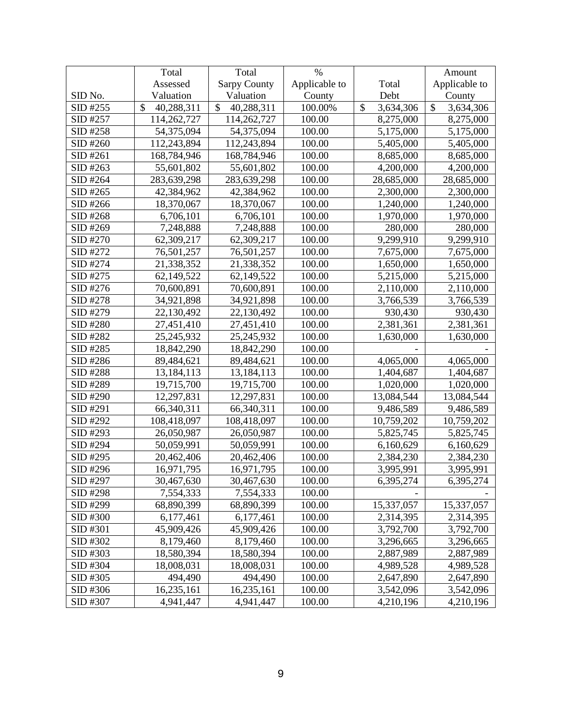|          | Total            | Total                       | $\%$          |                            | Amount                    |
|----------|------------------|-----------------------------|---------------|----------------------------|---------------------------|
|          | Assessed         | <b>Sarpy County</b>         | Applicable to | Total                      | Applicable to             |
| SID No.  | Valuation        | Valuation                   | County        | Debt                       | County                    |
| SID #255 | \$<br>40,288,311 | $\mathcal{S}$<br>40,288,311 | 100.00%       | $\mathcal{S}$<br>3,634,306 | $\mathbb{S}$<br>3,634,306 |
| SID #257 | 114,262,727      | 114,262,727                 | 100.00        | 8,275,000                  | 8,275,000                 |
| SID #258 | 54,375,094       | 54,375,094                  | 100.00        | 5,175,000                  | 5,175,000                 |
| SID #260 | 112,243,894      | 112,243,894                 | 100.00        | 5,405,000                  | 5,405,000                 |
| SID #261 | 168,784,946      | 168,784,946                 | 100.00        | 8,685,000                  | 8,685,000                 |
| SID #263 | 55,601,802       | 55,601,802                  | 100.00        | 4,200,000                  | 4,200,000                 |
| SID #264 | 283,639,298      | 283,639,298                 | 100.00        | 28,685,000                 | 28,685,000                |
| SID #265 | 42,384,962       | 42,384,962                  | 100.00        | 2,300,000                  | 2,300,000                 |
| SID #266 | 18,370,067       | 18,370,067                  | 100.00        | 1,240,000                  | 1,240,000                 |
| SID #268 | 6,706,101        | 6,706,101                   | 100.00        | 1,970,000                  | 1,970,000                 |
| SID #269 | 7,248,888        | 7,248,888                   | 100.00        | 280,000                    | 280,000                   |
| SID #270 | 62,309,217       | 62,309,217                  | 100.00        | 9,299,910                  | 9,299,910                 |
| SID #272 | 76,501,257       | 76,501,257                  | 100.00        | 7,675,000                  | 7,675,000                 |
| SID #274 | 21,338,352       | 21,338,352                  | 100.00        | 1,650,000                  | 1,650,000                 |
| SID #275 | 62,149,522       | 62,149,522                  | 100.00        | 5,215,000                  | 5,215,000                 |
| SID #276 | 70,600,891       | 70,600,891                  | 100.00        | 2,110,000                  | 2,110,000                 |
| SID #278 | 34,921,898       | 34,921,898                  | 100.00        | 3,766,539                  | 3,766,539                 |
| SID #279 | 22,130,492       | 22,130,492                  | 100.00        | 930,430                    | 930,430                   |
| SID #280 | 27,451,410       | 27,451,410                  | 100.00        | 2,381,361                  | 2,381,361                 |
| SID #282 | 25,245,932       | 25,245,932                  | 100.00        | 1,630,000                  | 1,630,000                 |
| SID #285 | 18,842,290       | 18,842,290                  | 100.00        |                            |                           |
| SID #286 | 89,484,621       | 89,484,621                  | 100.00        | 4,065,000                  | 4,065,000                 |
| SID #288 | 13,184,113       | 13,184,113                  | 100.00        | 1,404,687                  | 1,404,687                 |
| SID #289 | 19,715,700       | 19,715,700                  | 100.00        | 1,020,000                  | 1,020,000                 |
| SID #290 | 12,297,831       | 12,297,831                  | 100.00        | 13,084,544                 | 13,084,544                |
| SID #291 | 66,340,311       | 66,340,311                  | 100.00        | 9,486,589                  | 9,486,589                 |
| SID #292 | 108,418,097      | 108,418,097                 | 100.00        | 10,759,202                 | 10,759,202                |
| SID #293 | 26,050,987       | 26,050,987                  | 100.00        | 5,825,745                  | 5,825,745                 |
| SID #294 | 50,059,991       | 50,059,991                  | 100.00        | 6,160,629                  | 6,160,629                 |
| SID #295 | 20,462,406       | 20,462,406                  | 100.00        | 2,384,230                  | 2,384,230                 |
| SID #296 | 16,971,795       | 16,971,795                  | 100.00        | 3,995,991                  | 3,995,991                 |
| SID #297 | 30,467,630       | 30,467,630                  | 100.00        | 6,395,274                  | 6,395,274                 |
| SID #298 | 7,554,333        | 7,554,333                   | 100.00        |                            |                           |
| SID #299 | 68,890,399       | 68,890,399                  | 100.00        | 15,337,057                 | 15,337,057                |
| SID #300 | 6,177,461        | 6,177,461                   | 100.00        | 2,314,395                  | 2,314,395                 |
| SID #301 | 45,909,426       | 45,909,426                  | 100.00        | 3,792,700                  | 3,792,700                 |
| SID #302 | 8,179,460        | 8,179,460                   | 100.00        | 3,296,665                  | 3,296,665                 |
| SID #303 | 18,580,394       | 18,580,394                  | 100.00        | 2,887,989                  | 2,887,989                 |
| SID #304 | 18,008,031       | 18,008,031                  | 100.00        | 4,989,528                  | 4,989,528                 |
| SID #305 | 494,490          | 494,490                     | 100.00        | 2,647,890                  | 2,647,890                 |
| SID #306 | 16,235,161       | 16,235,161                  | 100.00        | 3,542,096                  | 3,542,096                 |
| SID #307 | 4,941,447        | 4,941,447                   | 100.00        | 4,210,196                  | 4,210,196                 |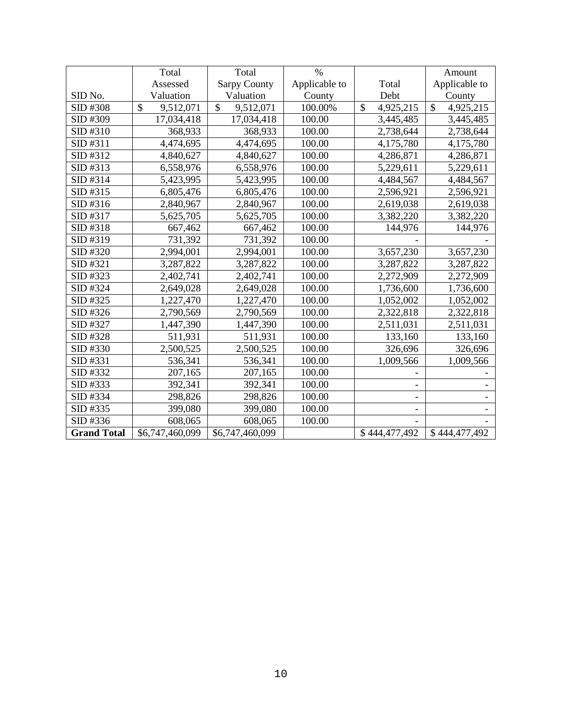|                    | Total           | Total               | $\frac{0}{0}$ |                 | Amount                     |
|--------------------|-----------------|---------------------|---------------|-----------------|----------------------------|
|                    | Assessed        | <b>Sarpy County</b> | Applicable to | Total           | Applicable to              |
| SID No.            | Valuation       | Valuation           | County        | Debt            | County                     |
| SID #308           | \$<br>9,512,071 | \$<br>9,512,071     | 100.00%       | \$<br>4,925,215 | $\mathcal{S}$<br>4,925,215 |
| SID #309           | 17,034,418      | 17,034,418          | 100.00        | 3,445,485       | 3,445,485                  |
| SID #310           | 368,933         | 368,933             | 100.00        | 2,738,644       | 2,738,644                  |
| SID #311           | 4,474,695       | 4,474,695           | 100.00        | 4,175,780       | 4,175,780                  |
| SID #312           | 4,840,627       | 4,840,627           | 100.00        | 4,286,871       | 4,286,871                  |
| SID #313           | 6,558,976       | 6,558,976           | 100.00        | 5,229,611       | 5,229,611                  |
| SID #314           | 5,423,995       | 5,423,995           | 100.00        | 4,484,567       | 4,484,567                  |
| SID #315           | 6,805,476       | 6,805,476           | 100.00        | 2,596,921       | 2,596,921                  |
| SID #316           | 2,840,967       | 2,840,967           | 100.00        | 2,619,038       | 2,619,038                  |
| SID #317           | 5,625,705       | 5,625,705           | 100.00        | 3,382,220       | 3,382,220                  |
| SID #318           | 667,462         | 667,462             | 100.00        | 144,976         | 144,976                    |
| SID #319           | 731,392         | 731,392             | 100.00        |                 |                            |
| SID #320           | 2,994,001       | 2,994,001           | 100.00        | 3,657,230       | 3,657,230                  |
| SID #321           | 3,287,822       | 3,287,822           | 100.00        | 3,287,822       | 3,287,822                  |
| SID #323           | 2,402,741       | 2,402,741           | 100.00        | 2,272,909       | 2,272,909                  |
| SID #324           | 2,649,028       | 2,649,028           | 100.00        | 1,736,600       | 1,736,600                  |
| SID #325           | 1,227,470       | 1,227,470           | 100.00        | 1,052,002       | 1,052,002                  |
| SID #326           | 2,790,569       | 2,790,569           | 100.00        | 2,322,818       | 2,322,818                  |
| SID #327           | 1,447,390       | 1,447,390           | 100.00        | 2,511,031       | 2,511,031                  |
| SID #328           | 511,931         | 511,931             | 100.00        | 133,160         | 133,160                    |
| SID #330           | 2,500,525       | 2,500,525           | 100.00        | 326,696         | 326,696                    |
| SID #331           | 536,341         | 536,341             | 100.00        | 1,009,566       | 1,009,566                  |
| SID #332           | 207,165         | 207,165             | 100.00        |                 |                            |
| SID #333           | 392,341         | 392,341             | 100.00        |                 |                            |
| SID #334           | 298,826         | 298,826             | 100.00        |                 |                            |
| SID #335           | 399,080         | 399,080             | 100.00        |                 |                            |
| SID #336           | 608,065         | 608,065             | 100.00        |                 |                            |
| <b>Grand Total</b> | \$6,747,460,099 | \$6,747,460,099     |               | \$444,477,492   | \$444,477,492              |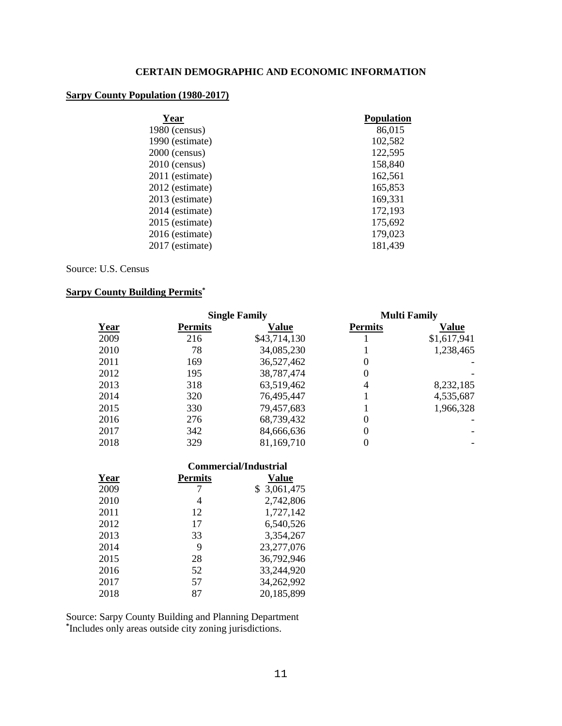# **CERTAIN DEMOGRAPHIC AND ECONOMIC INFORMATION**

# **Sarpy County Population (1980-2017)**

| Year            | <b>Population</b> |
|-----------------|-------------------|
| $1980$ (census) | 86,015            |
| 1990 (estimate) | 102,582           |
| $2000$ (census) | 122,595           |
| $2010$ (census) | 158,840           |
| 2011 (estimate) | 162,561           |
| 2012 (estimate) | 165,853           |
| 2013 (estimate) | 169,331           |
| 2014 (estimate) | 172,193           |
| 2015 (estimate) | 175,692           |
| 2016 (estimate) | 179,023           |
| 2017 (estimate) | 181,439           |
|                 |                   |

Source: U.S. Census

# **Sarpy County Building Permits\***

|      | <b>Single Family</b> |              |                | <b>Multi Family</b> |
|------|----------------------|--------------|----------------|---------------------|
| Year | <b>Permits</b>       | Value        | <b>Permits</b> | Value               |
| 2009 | 216                  | \$43,714,130 |                | \$1,617,941         |
| 2010 | 78                   | 34,085,230   |                | 1,238,465           |
| 2011 | 169                  | 36,527,462   | 0              |                     |
| 2012 | 195                  | 38,787,474   | 0              |                     |
| 2013 | 318                  | 63,519,462   | 4              | 8,232,185           |
| 2014 | 320                  | 76,495,447   |                | 4,535,687           |
| 2015 | 330                  | 79,457,683   |                | 1,966,328           |
| 2016 | 276                  | 68,739,432   | $\Omega$       |                     |
| 2017 | 342                  | 84,666,636   | 0              |                     |
| 2018 | 329                  | 81,169,710   |                |                     |

|      |                | Commercial/Industrial |  |  |
|------|----------------|-----------------------|--|--|
| Year | <b>Permits</b> | Value                 |  |  |
| 2009 |                | \$3,061,475           |  |  |
| 2010 | 4              | 2,742,806             |  |  |
| 2011 | 12             | 1,727,142             |  |  |
| 2012 | 17             | 6,540,526             |  |  |
| 2013 | 33             | 3,354,267             |  |  |
| 2014 | 9              | 23,277,076            |  |  |
| 2015 | 28             | 36,792,946            |  |  |
| 2016 | 52             | 33,244,920            |  |  |
| 2017 | 57             | 34,262,992            |  |  |
| 2018 | 87             | 20,185,899            |  |  |

Source: Sarpy County Building and Planning Department **\*** Includes only areas outside city zoning jurisdictions.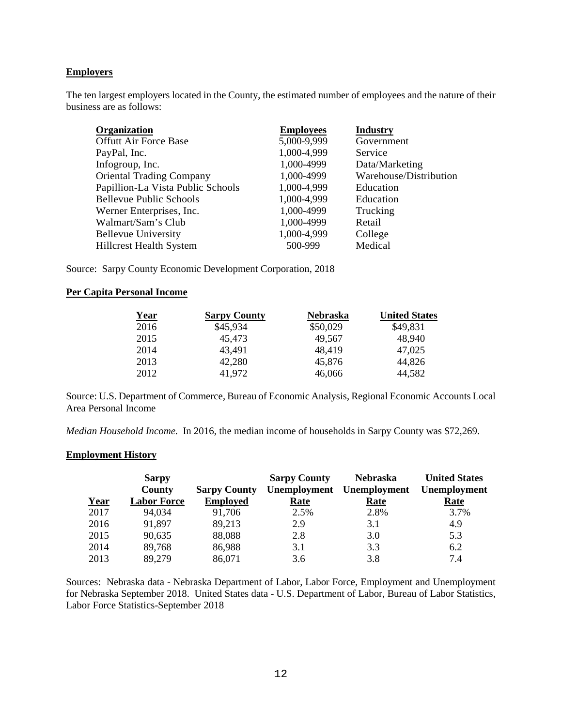## **Employers**

The ten largest employers located in the County, the estimated number of employees and the nature of their business are as follows:

| Organization                      | <b>Employees</b> | <b>Industry</b>        |
|-----------------------------------|------------------|------------------------|
| <b>Offutt Air Force Base</b>      | 5,000-9,999      | Government             |
| PayPal, Inc.                      | 1,000-4,999      | Service                |
| Infogroup, Inc.                   | 1,000-4999       | Data/Marketing         |
| <b>Oriental Trading Company</b>   | 1,000-4999       | Warehouse/Distribution |
| Papillion-La Vista Public Schools | 1,000-4,999      | Education              |
| <b>Bellevue Public Schools</b>    | 1,000-4,999      | Education              |
| Werner Enterprises, Inc.          | 1,000-4999       | Trucking               |
| Walmart/Sam's Club                | 1,000-4999       | Retail                 |
| <b>Bellevue University</b>        | 1,000-4,999      | College                |
| <b>Hillcrest Health System</b>    | 500-999          | Medical                |

Source: Sarpy County Economic Development Corporation, 2018

# **Per Capita Personal Income**

| <u>Year</u> | <b>Sarpy County</b> | <b>Nebraska</b> | <b>United States</b> |
|-------------|---------------------|-----------------|----------------------|
| 2016        | \$45,934            | \$50,029        | \$49,831             |
| 2015        | 45,473              | 49,567          | 48,940               |
| 2014        | 43.491              | 48,419          | 47,025               |
| 2013        | 42,280              | 45,876          | 44,826               |
| 2012        | 41,972              | 46,066          | 44,582               |

Source: U.S. Department of Commerce, Bureau of Economic Analysis, Regional Economic Accounts Local Area Personal Income

*Median Household Income.* In 2016, the median income of households in Sarpy County was \$72,269.

#### **Employment History**

|      | <b>Sarpy</b>       |                     | <b>Sarpy County</b> | <b>Nebraska</b>           | <b>United States</b> |
|------|--------------------|---------------------|---------------------|---------------------------|----------------------|
|      | County             | <b>Sarpy County</b> |                     | Unemployment Unemployment | <b>Unemployment</b>  |
| Year | <b>Labor Force</b> | <b>Employed</b>     | Rate                | Rate                      | Rate                 |
| 2017 | 94,034             | 91,706              | 2.5%                | 2.8%                      | 3.7%                 |
| 2016 | 91,897             | 89,213              | 2.9                 | 3.1                       | 4.9                  |
| 2015 | 90,635             | 88,088              | 2.8                 | 3.0                       | 5.3                  |
| 2014 | 89,768             | 86,988              | 3.1                 | 3.3                       | 6.2                  |
| 2013 | 89,279             | 86,071              | 3.6                 | 3.8                       | 7.4                  |

Sources: Nebraska data - Nebraska Department of Labor, Labor Force, Employment and Unemployment for Nebraska September 2018. United States data - U.S. Department of Labor, Bureau of Labor Statistics, Labor Force Statistics-September 2018